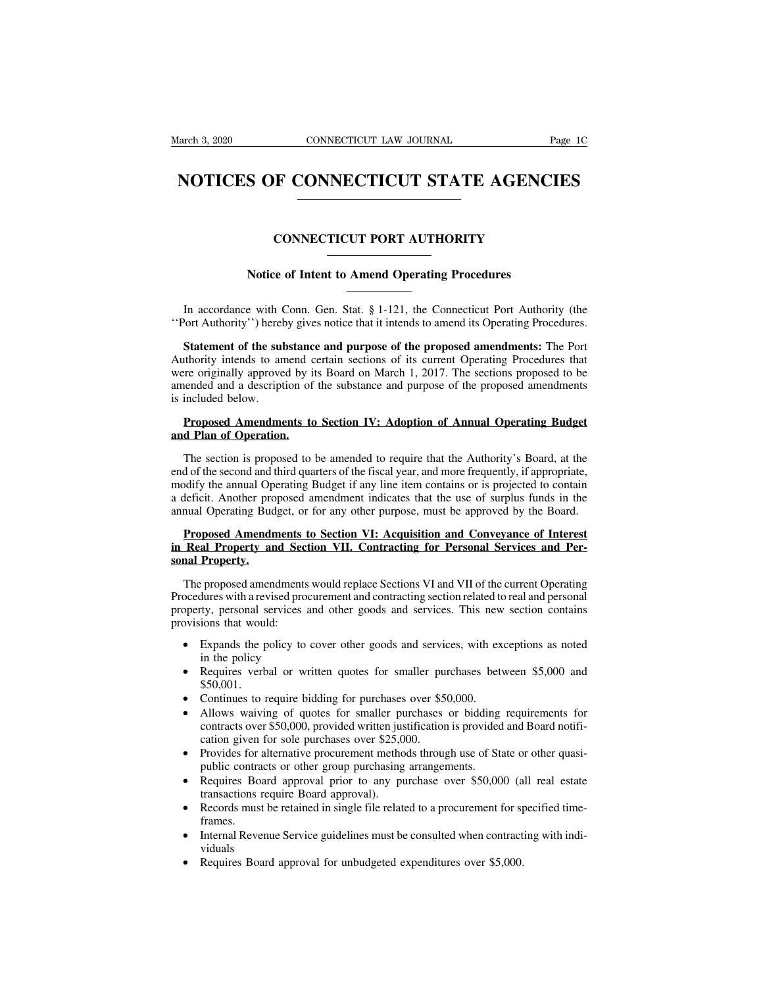### EXEMBED 3, 2020 CONNECTICUT LAW JOURNAL Page 1C<br> **NOTICES OF CONNECTICUT STATE AGENCIES NOTICES OF CONNECTICUT STATE AGENCIES**<br>
CONNECTICUT PORT AUTHORITY<br>
Notice of Intent to Amend Operating Procedures

# CONNECTICUT PORT AUTHORITY<br>
Notice of Intent to Amend Operating Procedures

CONNECTICUT PORT AUTHORITY<br>
Notice of Intent to Amend Operating Procedures<br>
In accordance with Conn. Gen. Stat. § 1-121, the Connecticut Port Authority (the<br>
Port Authority'') hereby gives notice that it intends to amend i The CONNECTICUT PORT AUTHORITY<br>
Notice of Intent to Amend Operating Procedures.<br>
In accordance with Conn. Gen. Stat. § 1-121, the Connecticut Port Authority (the<br>
"Port Authority") hereby gives notice that it intends to am

**Statement of the substance and purpose of the proposed ures the Port Authority (the Port Authority'') hereby gives notice that it intends to amend its Operating Procedures.<br>
<b>Statement of the substance and purpose of the** In accordance with Conn. Gen. Stat. § 1-121, the Connecticut Port Authority (the<br>
"Port Authority") hereby gives notice that it intends to amend its Operating Procedures.<br> **Statement of the substance and purpose of the pro** In accordance with Conn. Gen. Stat. § 1-121, the Connecticut Port Authority (the "Port Authority") hereby gives notice that it intends to amend its Operating Procedures.<br> **Statement of the substance and purpose of the prop** In accordance with Conn. Gen. Stat. § 1-121, the Connecticut Port Authority (the "Port Authority") hereby gives notice that it intends to amend its Operating Procedures.<br> **Statement of the substance and purpose of the pro** In accordance with Conn. Gen. Stat. § 1-121, the Connecticut Port Authority (the<br>
"Port Authority") hereby gives notice that it intends to amend its Operating Procedures.<br> **Statement of the substance and purpose of the pro Statement of the substance and purpose of the proposed amendments:** The Port uthority intends to amend certain sections of its current Operating Procedures that there originally approved by its Board on March 1, 2017. The Authority intends to amend certain sections of its current Operating Procedures that<br>were originally approved by its Board on March 1, 2017. The sections proposed to be<br>amended and a description of the substance and purpos

The section is proposed by its board on Match 1, 2017. The sections proposed to be<br>ended and a description of the substance and purpose of the proposed amendments<br>included below.<br>**Proposed Amendments to Section IV: Adoptio** end of the second and third quarters of the fiscal year, and more frequently, if appropriate, modify the annual Operating Budget if any line item contains or is projected to contain a deficit. Another proposed amendment in **Proposed Amendments to Section IV: Adoption of Annual Operating Budget**<br> **and Plan of Operation.**<br>
The section is proposed to be amended to require that the Authority's Board, at the<br>
end of the second and third quarters **Proposed Amendments to Section IV: Adoption of Annual Operating Budget**<br>and Plan of Operation.<br>The section is proposed to be amended to require that the Authority's Board, at the<br>end of the second and third quarters of th annual Operating Budget, or for any other purpose, must be approved by the Board.<br>Proposed Amendments to Section VI: Acquisition and Conveyance of Interest The section is proposed to be amended to require that the Authority's Board, at the d of the second and third quarters of the fiscal year, and more frequently, if appropriate, odify the annual Operating Budget if any line In Section is proposed to be antended to require that the Admonty s Board, at the<br>end of the second and third quarters of the fiscal year, and more frequently, if appropriate,<br>modify the annual Operating Budget if any line East of the second and the modify the annual Op<br>a deficit. Another pro<br>annual Operating Bud<br>**Proposed Amendin Real Property ansonal Property.**<br>The proposed amen

## From Proposed amendment materials that the use of surplus runds in the<br>nual Operating Budget, or for any other purpose, must be approved by the Board.<br>**Proposed Amendments to Section VII. Contracting for Personal Services**

**Proposed Amendments to Section VI: Acquisition and Conveyance of Interest**<br>in Real Property and Section VII. Contracting for Personal Services and Per-<br>sonal Property.<br>The proposed amendments would replace Sections VI and **Proposed Amendments to Section VI: Acquisition and Conveyance of Interest<br>in Real Property and Section VII. Contracting for Personal Services and Per-<br>sonal Property.<br>The proposed amendments would replace Sections VI and Expands the policy of the provisions of the property and Section VII. Contracting for Personal Services and Per-<br>
sonal Property.**<br>
The proposed amendments would replace Sections VI and VII of the current Operating<br>
Proce The proposed amendments would replace Sections VI and VII of the current Operating<br>Procedures with a revised procurement and contracting section related to real and personal<br>property, personal services and other goods and • Repressed and a replace sections via the via the caller operating ocedures with a revised procurement and contracting section related to real and personal perty, personal services and other goods and services. This new s

- 
- \$50,001.
- 
- Expands the policy to cover other goods and services, with exceptions as noted<br>
in the policy<br>
 Requires verbal or written quotes for smaller purchases between \$5,000 and<br>
\$50,001.<br>
 Continues to require bidding for pu Continues to require bidding for purchases over \$50,000.<br>Allows waiving of quotes for smaller purchases or bidding requirements for<br>contracts over \$50,000, provided written justification is provided and Board notifi-<br>catio • Requires verbal or written quotes for smaller purchases between \$5,000 and \$50,001.<br>
• Continues to require bidding for purchases over \$50,000.<br>
• Allows waiving of quotes for smaller purchases or bidding requirements fo 950,001.<br>
• Continues to require bidding for purchases over \$50,000.<br>
• Allows waiving of quotes for smaller purchases or bidding requirements for<br>
contracts over \$50,000, provided written justification is provided and Boa Allows waiving of quotes for smaller purchases or bidding requirements for<br>contracts over \$50,000, provided written justification is provided and Board notifi-<br>cation given for sole purchases over \$25,000.<br>Provides for alt
- 
- public contracts or other group purchasing arrangements.<br>
Requires Board approval prior to any purchase over \$50,000 (all real estate<br>
transactions require Board approval).<br>
Records must be retained in single file related
- frames.
- viduals • Requires Board approval prior to any purchase over \$50,000 (a transactions require Board approval).<br>
• Records must be retained in single file related to a procurement for sp frames.<br>
• Internal Revenue Service guideline
-